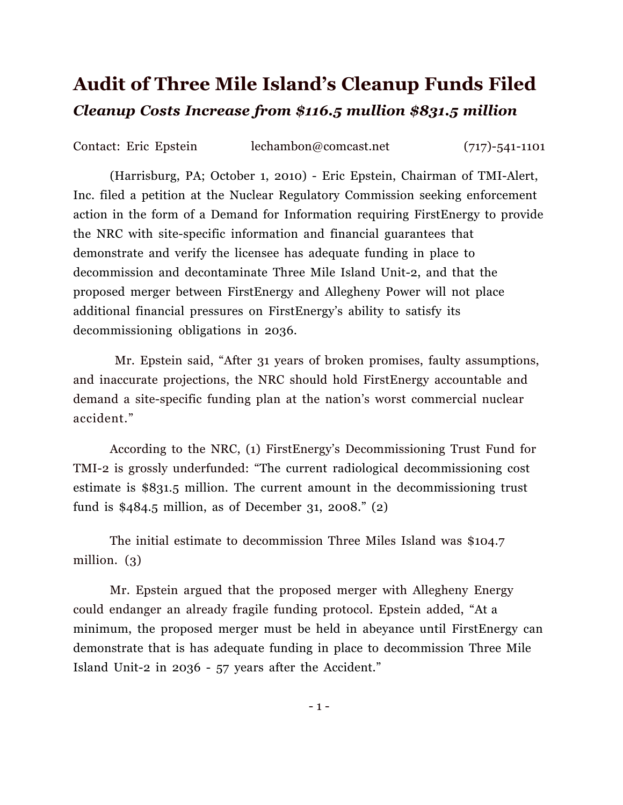## **Audit of Three Mile Island's Cleanup Funds Filed**  *Cleanup Costs Increase from \$116.5 mullion \$831.5 million*

Contact: Eric Epstein lechambon@comcast.net (717)-541-1101

 (Harrisburg, PA; October 1, 2010) - Eric Epstein, Chairman of TMI-Alert, Inc. filed a petition at the Nuclear Regulatory Commission seeking enforcement action in the form of a Demand for Information requiring FirstEnergy to provide the NRC with site-specific information and financial guarantees that demonstrate and verify the licensee has adequate funding in place to decommission and decontaminate Three Mile Island Unit-2, and that the proposed merger between FirstEnergy and Allegheny Power will not place additional financial pressures on FirstEnergy's ability to satisfy its decommissioning obligations in 2036.

Mr. Epstein said, "After 31 years of broken promises, faulty assumptions, and inaccurate projections, the NRC should hold FirstEnergy accountable and demand a site-specific funding plan at the nation's worst commercial nuclear accident."

According to the NRC, (1) FirstEnergy's Decommissioning Trust Fund for TMI-2 is grossly underfunded: "The current radiological decommissioning cost estimate is \$831.5 million. The current amount in the decommissioning trust fund is \$484.5 million, as of December 31, 2008." (2)

The initial estimate to decommission Three Miles Island was \$104.7 million. (3)

Mr. Epstein argued that the proposed merger with Allegheny Energy could endanger an already fragile funding protocol. Epstein added, "At a minimum, the proposed merger must be held in abeyance until FirstEnergy can demonstrate that is has adequate funding in place to decommission Three Mile Island Unit-2 in 2036 - 57 years after the Accident."

- 1 -